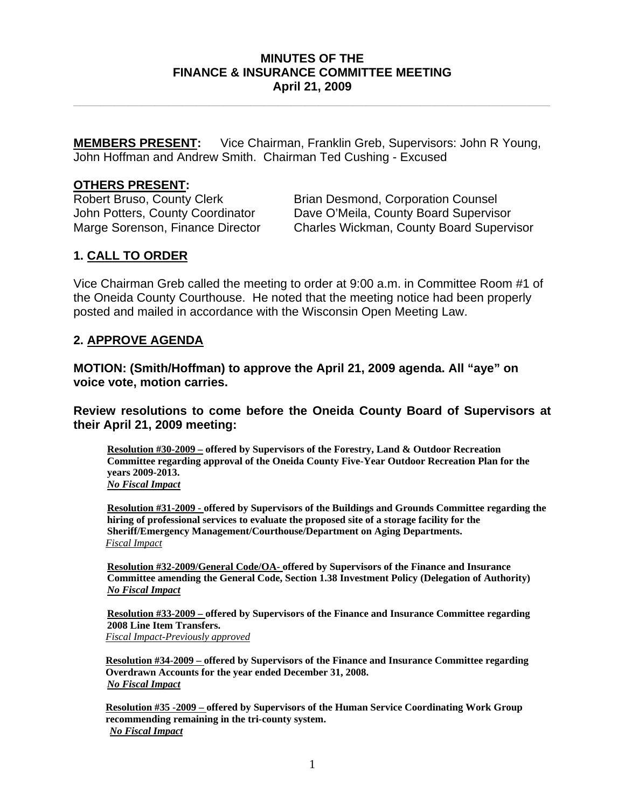## **MINUTES OF THE FINANCE & INSURANCE COMMITTEE MEETING April 21, 2009**

**\_\_\_\_\_\_\_\_\_\_\_\_\_\_\_\_\_\_\_\_\_\_\_\_\_\_\_\_\_\_\_\_\_\_\_\_\_\_\_\_\_\_\_\_\_\_\_\_\_\_\_\_\_\_\_\_\_\_\_\_\_\_\_\_\_\_\_\_\_\_** 

**MEMBERS PRESENT:** Vice Chairman, Franklin Greb, Supervisors: John R Young, John Hoffman and Andrew Smith. Chairman Ted Cushing - Excused

## **OTHERS PRESENT:**

Robert Bruso, County Clerk Brian Desmond, Corporation Counsel John Potters, County Coordinator Dave O'Meila, County Board Supervisor Marge Sorenson, Finance Director Charles Wickman, County Board Supervisor

## **1. CALL TO ORDER**

Vice Chairman Greb called the meeting to order at 9:00 a.m. in Committee Room #1 of the Oneida County Courthouse. He noted that the meeting notice had been properly posted and mailed in accordance with the Wisconsin Open Meeting Law.

## **2. APPROVE AGENDA**

**MOTION: (Smith/Hoffman) to approve the April 21, 2009 agenda. All "aye" on voice vote, motion carries.** 

**Review resolutions to come before the Oneida County Board of Supervisors at their April 21, 2009 meeting:** 

**Resolution #30-2009 – offered by Supervisors of the Forestry, Land & Outdoor Recreation Committee regarding approval of the Oneida County Five-Year Outdoor Recreation Plan for the years 2009-2013.**  *No Fiscal Impact*

**Resolution #31-2009 - offered by Supervisors of the Buildings and Grounds Committee regarding the hiring of professional services to evaluate the proposed site of a storage facility for the Sheriff/Emergency Management/Courthouse/Department on Aging Departments.**  *Fiscal Impact*

**Resolution #32-2009/General Code/OA- offered by Supervisors of the Finance and Insurance Committee amending the General Code, Section 1.38 Investment Policy (Delegation of Authority)**  *No Fiscal Impact*

**Resolution #33-2009 – offered by Supervisors of the Finance and Insurance Committee regarding 2008 Line Item Transfers.**  *Fiscal Impact-Previously approved*

**Resolution #34-2009 – offered by Supervisors of the Finance and Insurance Committee regarding Overdrawn Accounts for the year ended December 31, 2008.**  *No Fiscal Impact*

**Resolution #35 -2009 – offered by Supervisors of the Human Service Coordinating Work Group recommending remaining in the tri-county system.**  *No Fiscal Impact*